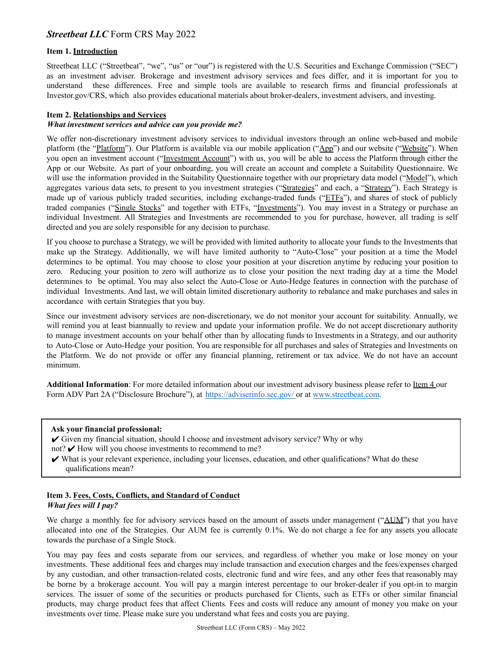# **Item 1. Introduction**

Streetbeat LLC ("Streetbeat", "we", "us" or "our") is registered with the U.S. Securities and Exchange Commission ("SEC") as an investment adviser. Brokerage and investment advisory services and fees differ, and it is important for you to understand these differences. Free and simple tools are available to research firms and financial professionals at Investor.gov/CRS, which also provides educational materials about broker-dealers, investment advisers, and investing.

## **Item 2. Relationships and Services**

#### *What investment services and advice can you provide me?*

We offer non-discretionary investment advisory services to individual investors through an online web-based and mobile platform (the "Platform"). Our Platform is available via our mobile application ("App") and our website ("Website"). When you open an investment account ("Investment Account") with us, you will be able to access the Platform through either the App or our Website. As part of your onboarding, you will create an account and complete a Suitability Questionnaire. We will use the information provided in the Suitability Questionnaire together with our proprietary data model ("Model"), which aggregates various data sets, to present to you investment strategies ("Strategies" and each, a "Strategy"). Each Strategy is made up of various publicly traded securities, including exchange-traded funds ("ETFs"), and shares of stock of publicly traded companies ("Single Stocks" and together with ETFs, "Investments"). You may invest in a Strategy or purchase an individual Investment. All Strategies and Investments are recommended to you for purchase, however, all trading is self directed and you are solely responsible for any decision to purchase.

If you choose to purchase a Strategy, we will be provided with limited authority to allocate your funds to the Investments that make up the Strategy. Additionally, we will have limited authority to "Auto-Close" your position at a time the Model determines to be optimal. You may choose to close your position at your discretion anytime by reducing your position to zero. Reducing your position to zero will authorize us to close your position the next trading day at a time the Model determines to be optimal. You may also select the Auto-Close or Auto-Hedge features in connection with the purchase of individual Investments. And last, we will obtain limited discretionary authority to rebalance and make purchases and sales in accordance with certain Strategies that you buy.

Since our investment advisory services are non-discretionary, we do not monitor your account for suitability. Annually, we will remind you at least biannually to review and update your information profile. We do not accept discretionary authority to manage investment accounts on your behalf other than by allocating funds to Investments in a Strategy, and our authority to Auto-Close or Auto-Hedge your position. You are responsible for all purchases and sales of Strategies and Investments on the Platform. We do not provide or offer any financial planning, retirement or tax advice. We do not have an account minimum.

**Additional Information**: For more detailed information about our investment advisory business please refer to Item 4 our Form ADV Part 2A ("Disclosure Brochure"), at https://adviserinfo.sec.gov/ or at www.streetbeat.com.

#### **Ask your financial professional:**

- ✔ Given my financial situation, should I choose and investment advisory service? Why or why
- not?  $\vee$  How will you choose investments to recommend to me?
- ✔ What is your relevant experience, including your licenses, education, and other qualifications? What do these qualifications mean?

#### **Item 3. Fees, Costs, Conflicts, and Standard of Conduct** *What fees will I pay?*

We charge a monthly fee for advisory services based on the amount of assets under management ("AUM") that you have allocated into one of the Strategies. Our AUM fee is currently 0.1%. We do not charge a fee for any assets you allocate towards the purchase of a Single Stock.

You may pay fees and costs separate from our services, and regardless of whether you make or lose money on your investments. These additional fees and charges may include transaction and execution charges and the fees/expenses charged by any custodian, and other transaction-related costs, electronic fund and wire fees, and any other fees that reasonably may be borne by a brokerage account. You will pay a margin interest percentage to our broker-dealer if you opt-in to margin services. The issuer of some of the securities or products purchased for Clients, such as ETFs or other similar financial products, may charge product fees that affect Clients*.* Fees and costs will reduce any amount of money you make on your investments over time. Please make sure you understand what fees and costs you are paying.